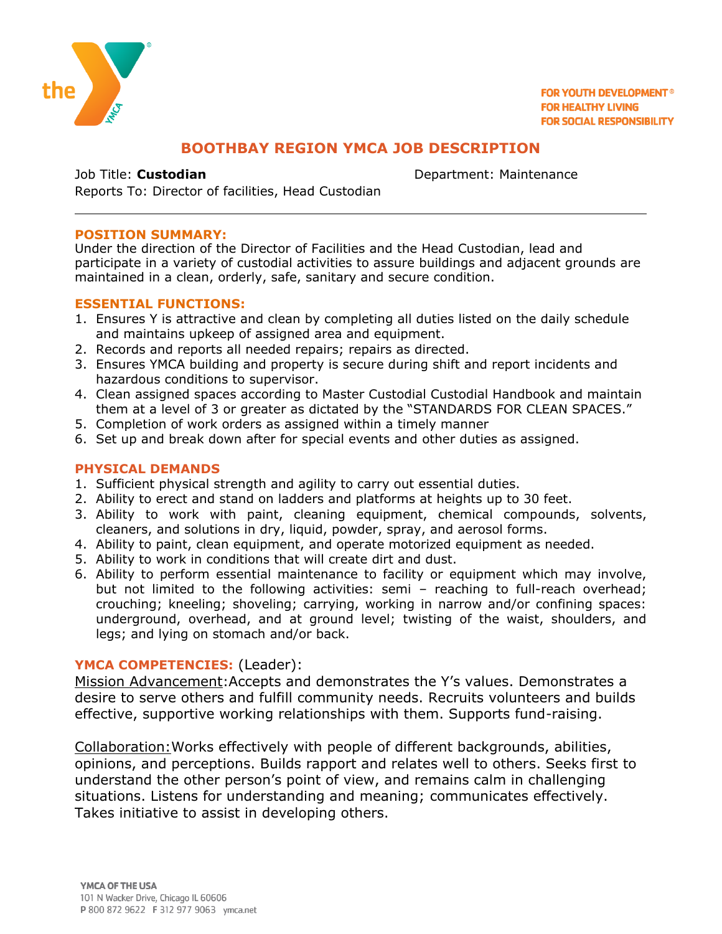

**FOR YOUTH DEVELOPMENT® FOR HEALTHY LIVING FOR SOCIAL RESPONSIBILITY** 

# **BOOTHBAY REGION YMCA JOB DESCRIPTION**

Job Title: **Custodian Department: Maintenance** 

Reports To: Director of facilities, Head Custodian

#### **POSITION SUMMARY:**

Under the direction of the Director of Facilities and the Head Custodian, lead and participate in a variety of custodial activities to assure buildings and adjacent grounds are maintained in a clean, orderly, safe, sanitary and secure condition.

#### **ESSENTIAL FUNCTIONS:**

- 1. Ensures Y is attractive and clean by completing all duties listed on the daily schedule and maintains upkeep of assigned area and equipment.
- 2. Records and reports all needed repairs; repairs as directed.
- 3. Ensures YMCA building and property is secure during shift and report incidents and hazardous conditions to supervisor.
- 4. Clean assigned spaces according to Master Custodial Custodial Handbook and maintain them at a level of 3 or greater as dictated by the "STANDARDS FOR CLEAN SPACES."
- 5. Completion of work orders as assigned within a timely manner
- 6. Set up and break down after for special events and other duties as assigned.

### **PHYSICAL DEMANDS**

- 1. Sufficient physical strength and agility to carry out essential duties.
- 2. Ability to erect and stand on ladders and platforms at heights up to 30 feet.
- 3. Ability to work with paint, cleaning equipment, chemical compounds, solvents, cleaners, and solutions in dry, liquid, powder, spray, and aerosol forms.
- 4. Ability to paint, clean equipment, and operate motorized equipment as needed.
- 5. Ability to work in conditions that will create dirt and dust.
- 6. Ability to perform essential maintenance to facility or equipment which may involve, but not limited to the following activities: semi – reaching to full-reach overhead; crouching; kneeling; shoveling; carrying, working in narrow and/or confining spaces: underground, overhead, and at ground level; twisting of the waist, shoulders, and legs; and lying on stomach and/or back.

## **YMCA COMPETENCIES:** (Leader):

Mission Advancement:Accepts and demonstrates the Y's values. Demonstrates a desire to serve others and fulfill community needs. Recruits volunteers and builds effective, supportive working relationships with them. Supports fund-raising.

Collaboration:Works effectively with people of different backgrounds, abilities, opinions, and perceptions. Builds rapport and relates well to others. Seeks first to understand the other person's point of view, and remains calm in challenging situations. Listens for understanding and meaning; communicates effectively. Takes initiative to assist in developing others.